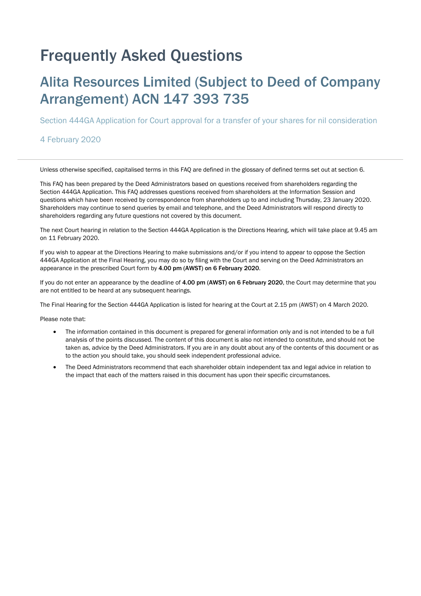# Frequently Asked Questions

# Alita Resources Limited (Subject to Deed of Company Arrangement) ACN 147 393 735

Section 444GA Application for Court approval for a transfer of your shares for nil consideration

#### 4 February 2020

Unless otherwise specified, capitalised terms in this FAQ are defined in the glossary of defined terms set out at section 6.

This FAQ has been prepared by the Deed Administrators based on questions received from shareholders regarding the Section 444GA Application. This FAQ addresses questions received from shareholders at the Information Session and questions which have been received by correspondence from shareholders up to and including Thursday, 23 January 2020. Shareholders may continue to send queries by email and telephone, and the Deed Administrators will respond directly to shareholders regarding any future questions not covered by this document.

The next Court hearing in relation to the Section 444GA Application is the Directions Hearing, which will take place at 9.45 am on 11 February 2020.

If you wish to appear at the Directions Hearing to make submissions and/or if you intend to appear to oppose the Section 444GA Application at the Final Hearing, you may do so by filing with the Court and serving on the Deed Administrators an appearance in the prescribed Court form by 4.00 pm (AWST) on 6 February 2020.

If you do not enter an appearance by the deadline of 4.00 pm (AWST) on 6 February 2020, the Court may determine that you are not entitled to be heard at any subsequent hearings.

The Final Hearing for the Section 444GA Application is listed for hearing at the Court at 2.15 pm (AWST) on 4 March 2020.

Please note that:

- The information contained in this document is prepared for general information only and is not intended to be a full analysis of the points discussed. The content of this document is also not intended to constitute, and should not be taken as, advice by the Deed Administrators. If you are in any doubt about any of the contents of this document or as to the action you should take, you should seek independent professional advice.
- The Deed Administrators recommend that each shareholder obtain independent tax and legal advice in relation to the impact that each of the matters raised in this document has upon their specific circumstances.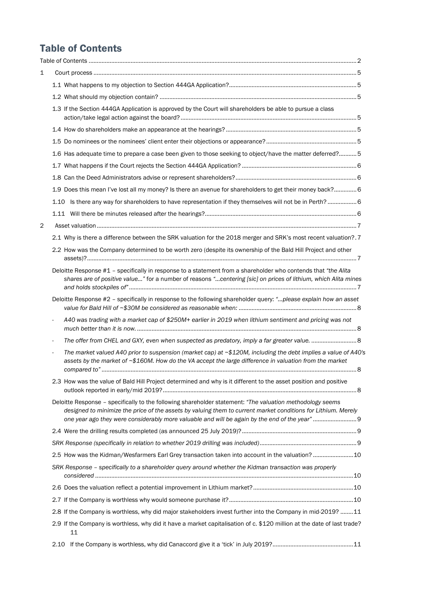## Table of Contents

| 1 |                                                                                                                                                                                                                                  |  |
|---|----------------------------------------------------------------------------------------------------------------------------------------------------------------------------------------------------------------------------------|--|
|   |                                                                                                                                                                                                                                  |  |
|   |                                                                                                                                                                                                                                  |  |
|   | 1.3 If the Section 444GA Application is approved by the Court will shareholders be able to pursue a class                                                                                                                        |  |
|   |                                                                                                                                                                                                                                  |  |
|   |                                                                                                                                                                                                                                  |  |
|   | 1.6 Has adequate time to prepare a case been given to those seeking to object/have the matter deferred?5                                                                                                                         |  |
|   |                                                                                                                                                                                                                                  |  |
|   |                                                                                                                                                                                                                                  |  |
|   | 1.9 Does this mean I've lost all my money? Is there an avenue for shareholders to get their money back? 6                                                                                                                        |  |
|   | Is there any way for shareholders to have representation if they themselves will not be in Perth? 6<br>1.10                                                                                                                      |  |
|   |                                                                                                                                                                                                                                  |  |
| 2 |                                                                                                                                                                                                                                  |  |
|   | 2.1 Why is there a difference between the SRK valuation for the 2018 merger and SRK's most recent valuation?.7                                                                                                                   |  |
|   | 2.2 How was the Company determined to be worth zero (despite its ownership of the Bald Hill Project and other                                                                                                                    |  |
|   | Deloitte Response #1 - specifically in response to a statement from a shareholder who contends that "the Alita<br>shares are of positive value" for a number of reasons "centering [sic] on prices of lithium, which Alita mines |  |
|   | Deloitte Response #2 - specifically in response to the following shareholder query: "please explain how an asset                                                                                                                 |  |
|   | A40 was trading with a market cap of \$250M+ earlier in 2019 when lithium sentiment and pricing was not                                                                                                                          |  |
|   |                                                                                                                                                                                                                                  |  |
|   | The market valued A40 prior to suspension (market cap) at $\sim$ \$120M, including the debt implies a value of A40's<br>assets by the market of ~\$160M. How do the VA accept the large difference in valuation from the market  |  |
|   | 2.3 How was the value of Bald Hill Project determined and why is it different to the asset position and positive                                                                                                                 |  |
|   | Deloitte Response - specifically to the following shareholder statement: "The valuation methodology seems<br>designed to minimize the price of the assets by valuing them to current market conditions for Lithium. Merely       |  |
|   |                                                                                                                                                                                                                                  |  |
|   |                                                                                                                                                                                                                                  |  |
|   | 2.5 How was the Kidman/Wesfarmers Earl Grey transaction taken into account in the valuation? 10                                                                                                                                  |  |
|   | SRK Response - specifically to a shareholder query around whether the Kidman transaction was properly                                                                                                                            |  |
|   |                                                                                                                                                                                                                                  |  |
|   |                                                                                                                                                                                                                                  |  |
|   | 2.8 If the Company is worthless, why did major stakeholders invest further into the Company in mid-2019? 11                                                                                                                      |  |
|   | 2.9 If the Company is worthless, why did it have a market capitalisation of c. \$120 million at the date of last trade?<br>11                                                                                                    |  |
|   | 2.10                                                                                                                                                                                                                             |  |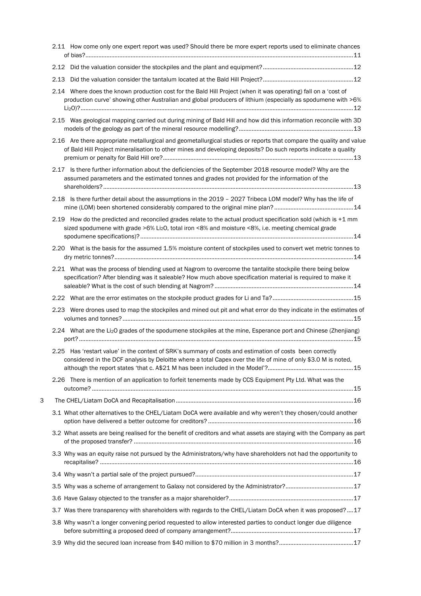| 2.11 How come only one expert report was used? Should there be more expert reports used to eliminate chances                                                                                                                          |  |
|---------------------------------------------------------------------------------------------------------------------------------------------------------------------------------------------------------------------------------------|--|
|                                                                                                                                                                                                                                       |  |
| 2.13                                                                                                                                                                                                                                  |  |
| 2.14 Where does the known production cost for the Bald Hill Project (when it was operating) fall on a 'cost of<br>production curve' showing other Australian and global producers of lithium (especially as spodumene with >6%        |  |
| 2.15 Was geological mapping carried out during mining of Bald Hill and how did this information reconcile with 3D                                                                                                                     |  |
| 2.16 Are there appropriate metallurgical and geometallurgical studies or reports that compare the quality and value<br>of Bald Hill Project mineralisation to other mines and developing deposits? Do such reports indicate a quality |  |
| 2.17 Is there further information about the deficiencies of the September 2018 resource model? Why are the<br>assumed parameters and the estimated tonnes and grades not provided for the information of the                          |  |
| 2.18 Is there further detail about the assumptions in the 2019 - 2027 Tribeca LOM model? Why has the life of                                                                                                                          |  |
| 2.19 How do the predicted and reconciled grades relate to the actual product specification sold (which is +1 mm<br>sized spodumene with grade >6% Li2O, total iron <8% and moisture <8%, i.e. meeting chemical grade                  |  |
| 2.20 What is the basis for the assumed 1.5% moisture content of stockpiles used to convert wet metric tonnes to                                                                                                                       |  |
| 2.21 What was the process of blending used at Nagrom to overcome the tantalite stockpile there being below<br>specification? After blending was it saleable? How much above specification material is required to make it             |  |
|                                                                                                                                                                                                                                       |  |
| 2.23 Were drones used to map the stockpiles and mined out pit and what error do they indicate in the estimates of                                                                                                                     |  |
| 2.24 What are the Li2O grades of the spodumene stockpiles at the mine, Esperance port and Chinese (Zhenjiang)                                                                                                                         |  |
| 2.25 Has 'restart value' in the context of SRK's summary of costs and estimation of costs been correctly<br>considered in the DCF analysis by Deloitte where a total Capex over the life of mine of only \$3.0 M is noted,            |  |
| 2.26 There is mention of an application to forfeit tenements made by CCS Equipment Pty Ltd. What was the                                                                                                                              |  |
| З                                                                                                                                                                                                                                     |  |
| 3.1 What other alternatives to the CHEL/Liatam DoCA were available and why weren't they chosen/could another                                                                                                                          |  |
| 3.2 What assets are being realised for the benefit of creditors and what assets are staying with the Company as part                                                                                                                  |  |
| 3.3 Why was an equity raise not pursued by the Administrators/why have shareholders not had the opportunity to                                                                                                                        |  |
|                                                                                                                                                                                                                                       |  |
|                                                                                                                                                                                                                                       |  |
|                                                                                                                                                                                                                                       |  |
| 3.7 Was there transparency with shareholders with regards to the CHEL/Liatam DoCA when it was proposed?17                                                                                                                             |  |
| 3.8 Why wasn't a longer convening period requested to allow interested parties to conduct longer due diligence                                                                                                                        |  |
|                                                                                                                                                                                                                                       |  |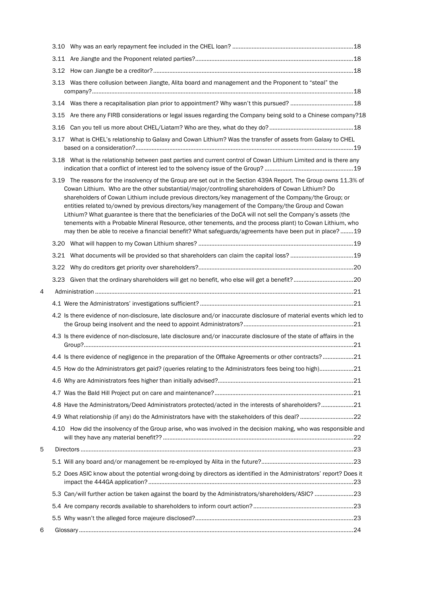|   | 3.13 Was there collusion between Jiangte, Alita board and management and the Proponent to "steal" the                                                                                                                                                                                                                                                                                                                                                                                                                                                                                                                                                                                                                                                                  |  |
|---|------------------------------------------------------------------------------------------------------------------------------------------------------------------------------------------------------------------------------------------------------------------------------------------------------------------------------------------------------------------------------------------------------------------------------------------------------------------------------------------------------------------------------------------------------------------------------------------------------------------------------------------------------------------------------------------------------------------------------------------------------------------------|--|
|   |                                                                                                                                                                                                                                                                                                                                                                                                                                                                                                                                                                                                                                                                                                                                                                        |  |
|   | 3.15 Are there any FIRB considerations or legal issues regarding the Company being sold to a Chinese company?18                                                                                                                                                                                                                                                                                                                                                                                                                                                                                                                                                                                                                                                        |  |
|   | 3.16                                                                                                                                                                                                                                                                                                                                                                                                                                                                                                                                                                                                                                                                                                                                                                   |  |
|   | 3.17 What is CHEL's relationship to Galaxy and Cowan Lithium? Was the transfer of assets from Galaxy to CHEL                                                                                                                                                                                                                                                                                                                                                                                                                                                                                                                                                                                                                                                           |  |
|   | 3.18 What is the relationship between past parties and current control of Cowan Lithium Limited and is there any                                                                                                                                                                                                                                                                                                                                                                                                                                                                                                                                                                                                                                                       |  |
|   | 3.19 The reasons for the insolvency of the Group are set out in the Section 439A Report. The Group owns 11.3% of<br>Cowan Lithium. Who are the other substantial/major/controlling shareholders of Cowan Lithium? Do<br>shareholders of Cowan Lithium include previous directors/key management of the Company/the Group; or<br>entities related to/owned by previous directors/key management of the Company/the Group and Cowan<br>Lithium? What guarantee is there that the beneficiaries of the DoCA will not sell the Company's assets (the<br>tenements with a Probable Mineral Resource, other tenements, and the process plant) to Cowan Lithium, who<br>may then be able to receive a financial benefit? What safeguards/agreements have been put in place?19 |  |
|   |                                                                                                                                                                                                                                                                                                                                                                                                                                                                                                                                                                                                                                                                                                                                                                        |  |
|   |                                                                                                                                                                                                                                                                                                                                                                                                                                                                                                                                                                                                                                                                                                                                                                        |  |
|   | 3.22                                                                                                                                                                                                                                                                                                                                                                                                                                                                                                                                                                                                                                                                                                                                                                   |  |
|   | 3.23                                                                                                                                                                                                                                                                                                                                                                                                                                                                                                                                                                                                                                                                                                                                                                   |  |
| 4 |                                                                                                                                                                                                                                                                                                                                                                                                                                                                                                                                                                                                                                                                                                                                                                        |  |
|   |                                                                                                                                                                                                                                                                                                                                                                                                                                                                                                                                                                                                                                                                                                                                                                        |  |
|   | 4.2 Is there evidence of non-disclosure, late disclosure and/or inaccurate disclosure of material events which led to                                                                                                                                                                                                                                                                                                                                                                                                                                                                                                                                                                                                                                                  |  |
|   | 4.3 Is there evidence of non-disclosure, late disclosure and/or inaccurate disclosure of the state of affairs in the                                                                                                                                                                                                                                                                                                                                                                                                                                                                                                                                                                                                                                                   |  |
|   | 4.4 Is there evidence of negligence in the preparation of the Offtake Agreements or other contracts?21                                                                                                                                                                                                                                                                                                                                                                                                                                                                                                                                                                                                                                                                 |  |
|   | 4.5 How do the Administrators get paid? (queries relating to the Administrators fees being too high)21                                                                                                                                                                                                                                                                                                                                                                                                                                                                                                                                                                                                                                                                 |  |
|   |                                                                                                                                                                                                                                                                                                                                                                                                                                                                                                                                                                                                                                                                                                                                                                        |  |
|   |                                                                                                                                                                                                                                                                                                                                                                                                                                                                                                                                                                                                                                                                                                                                                                        |  |
|   | 4.8 Have the Administrators/Deed Administrators protected/acted in the interests of shareholders?21                                                                                                                                                                                                                                                                                                                                                                                                                                                                                                                                                                                                                                                                    |  |
|   |                                                                                                                                                                                                                                                                                                                                                                                                                                                                                                                                                                                                                                                                                                                                                                        |  |
|   | 4.10 How did the insolvency of the Group arise, who was involved in the decision making, who was responsible and                                                                                                                                                                                                                                                                                                                                                                                                                                                                                                                                                                                                                                                       |  |
| 5 |                                                                                                                                                                                                                                                                                                                                                                                                                                                                                                                                                                                                                                                                                                                                                                        |  |
|   |                                                                                                                                                                                                                                                                                                                                                                                                                                                                                                                                                                                                                                                                                                                                                                        |  |
|   | 5.2 Does ASIC know about the potential wrong-doing by directors as identified in the Administrators' report? Does it                                                                                                                                                                                                                                                                                                                                                                                                                                                                                                                                                                                                                                                   |  |
|   | 5.3 Can/will further action be taken against the board by the Administrators/shareholders/ASIC? 23                                                                                                                                                                                                                                                                                                                                                                                                                                                                                                                                                                                                                                                                     |  |
|   |                                                                                                                                                                                                                                                                                                                                                                                                                                                                                                                                                                                                                                                                                                                                                                        |  |
|   |                                                                                                                                                                                                                                                                                                                                                                                                                                                                                                                                                                                                                                                                                                                                                                        |  |
| 6 |                                                                                                                                                                                                                                                                                                                                                                                                                                                                                                                                                                                                                                                                                                                                                                        |  |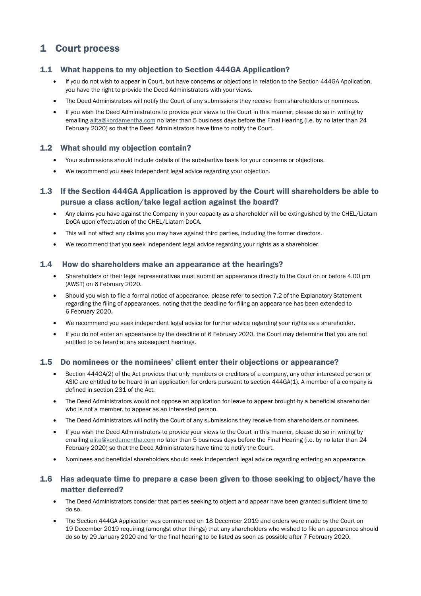## 1 Court process

## 1.1 What happens to my objection to Section 444GA Application?

- If you do not wish to appear in Court, but have concerns or objections in relation to the Section 444GA Application, you have the right to provide the Deed Administrators with your views.
- The Deed Administrators will notify the Court of any submissions they receive from shareholders or nominees.
- If you wish the Deed Administrators to provide your views to the Court in this manner, please do so in writing by emailing alita@kordamentha.com no later than 5 business days before the Final Hearing (i.e. by no later than 24 February 2020) so that the Deed Administrators have time to notify the Court.

#### 1.2 What should my objection contain?

- Your submissions should include details of the substantive basis for your concerns or objections.
- We recommend you seek independent legal advice regarding your objection.

### 1.3 If the Section 444GA Application is approved by the Court will shareholders be able to pursue a class action/take legal action against the board?

- Any claims you have against the Company in your capacity as a shareholder will be extinguished by the CHEL/Liatam DoCA upon effectuation of the CHEL/Liatam DoCA.
- This will not affect any claims you may have against third parties, including the former directors.
- We recommend that you seek independent legal advice regarding your rights as a shareholder.

#### 1.4 How do shareholders make an appearance at the hearings?

- Shareholders or their legal representatives must submit an appearance directly to the Court on or before 4.00 pm (AWST) on 6 February 2020.
- Should you wish to file a formal notice of appearance, please refer to section 7.2 of the Explanatory Statement regarding the filing of appearances, noting that the deadline for filing an appearance has been extended to 6 February 2020.
- We recommend you seek independent legal advice for further advice regarding your rights as a shareholder.
- If you do not enter an appearance by the deadline of 6 February 2020, the Court may determine that you are not entitled to be heard at any subsequent hearings.

#### 1.5 Do nominees or the nominees' client enter their objections or appearance?

- Section 444GA(2) of the Act provides that only members or creditors of a company, any other interested person or ASIC are entitled to be heard in an application for orders pursuant to section 444GA(1). A member of a company is defined in section 231 of the Act.
- The Deed Administrators would not oppose an application for leave to appear brought by a beneficial shareholder who is not a member, to appear as an interested person.
- The Deed Administrators will notify the Court of any submissions they receive from shareholders or nominees.
- If you wish the Deed Administrators to provide your views to the Court in this manner, please do so in writing by emailing alita@kordamentha.com no later than 5 business days before the Final Hearing (i.e. by no later than 24 February 2020) so that the Deed Administrators have time to notify the Court.
- Nominees and beneficial shareholders should seek independent legal advice regarding entering an appearance.

#### 1.6 Has adequate time to prepare a case been given to those seeking to object/have the matter deferred?

- The Deed Administrators consider that parties seeking to object and appear have been granted sufficient time to do so.
- The Section 444GA Application was commenced on 18 December 2019 and orders were made by the Court on 19 December 2019 requiring (amongst other things) that any shareholders who wished to file an appearance should do so by 29 January 2020 and for the final hearing to be listed as soon as possible after 7 February 2020.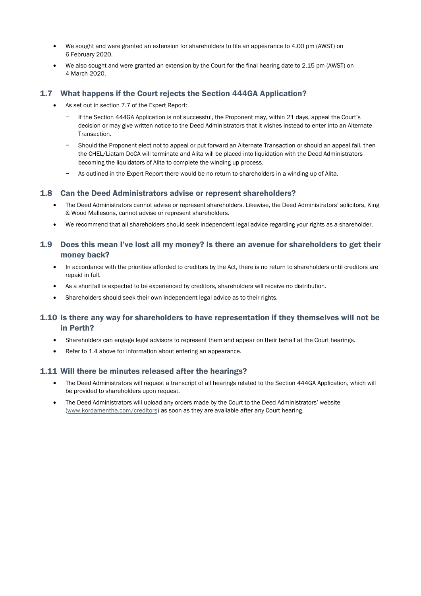- We sought and were granted an extension for shareholders to file an appearance to 4.00 pm (AWST) on 6 February 2020.
- We also sought and were granted an extension by the Court for the final hearing date to 2.15 pm (AWST) on 4 March 2020.

#### 1.7 What happens if the Court rejects the Section 444GA Application?

- As set out in section 7.7 of the Expert Report:
	- − If the Section 444GA Application is not successful, the Proponent may, within 21 days, appeal the Court's decision or may give written notice to the Deed Administrators that it wishes instead to enter into an Alternate Transaction.
	- − Should the Proponent elect not to appeal or put forward an Alternate Transaction or should an appeal fail, then the CHEL/Liatam DoCA will terminate and Alita will be placed into liquidation with the Deed Administrators becoming the liquidators of Alita to complete the winding up process.
	- − As outlined in the Expert Report there would be no return to shareholders in a winding up of Alita.

#### 1.8 Can the Deed Administrators advise or represent shareholders?

- The Deed Administrators cannot advise or represent shareholders. Likewise, the Deed Administrators' solicitors, King & Wood Mallesons, cannot advise or represent shareholders.
- We recommend that all shareholders should seek independent legal advice regarding your rights as a shareholder.

### 1.9 Does this mean I've lost all my money? Is there an avenue for shareholders to get their money back?

- In accordance with the priorities afforded to creditors by the Act, there is no return to shareholders until creditors are repaid in full.
- As a shortfall is expected to be experienced by creditors, shareholders will receive no distribution.
- Shareholders should seek their own independent legal advice as to their rights.

## 1.10 Is there any way for shareholders to have representation if they themselves will not be in Perth?

- Shareholders can engage legal advisors to represent them and appear on their behalf at the Court hearings.
- Refer to 1.4 above for information about entering an appearance.

#### 1.11 Will there be minutes released after the hearings?

- The Deed Administrators will request a transcript of all hearings related to the Section 444GA Application, which will be provided to shareholders upon request.
- The Deed Administrators will upload any orders made by the Court to the Deed Administrators' website (www.kordamentha.com/creditors) as soon as they are available after any Court hearing.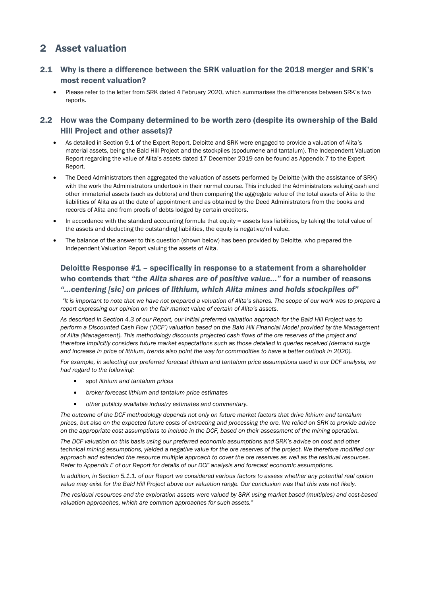## 2 Asset valuation

## 2.1 Why is there a difference between the SRK valuation for the 2018 merger and SRK's most recent valuation?

• Please refer to the letter from SRK dated 4 February 2020, which summarises the differences between SRK's two reports.

## 2.2 How was the Company determined to be worth zero (despite its ownership of the Bald Hill Project and other assets)?

- As detailed in Section 9.1 of the Expert Report, Deloitte and SRK were engaged to provide a valuation of Alita's material assets, being the Bald Hill Project and the stockpiles (spodumene and tantalum). The Independent Valuation Report regarding the value of Alita's assets dated 17 December 2019 can be found as Appendix 7 to the Expert Report.
- The Deed Administrators then aggregated the valuation of assets performed by Deloitte (with the assistance of SRK) with the work the Administrators undertook in their normal course. This included the Administrators valuing cash and other immaterial assets (such as debtors) and then comparing the aggregate value of the total assets of Alita to the liabilities of Alita as at the date of appointment and as obtained by the Deed Administrators from the books and records of Alita and from proofs of debts lodged by certain creditors.
- In accordance with the standard accounting formula that equity = assets less liabilities, by taking the total value of the assets and deducting the outstanding liabilities, the equity is negative/nil value.
- The balance of the answer to this question (shown below) has been provided by Deloitte, who prepared the Independent Valuation Report valuing the assets of Alita.

## Deloitte Response #1 – specifically in response to a statement from a shareholder who contends that *"the Alita shares are of positive value…"* for a number of reasons *"…centering [sic] on prices of lithium, which Alita mines and holds stockpiles of"*

*"It is important to note that we have not prepared a valuation of Alita's shares. The scope of our work was to prepare a report expressing our opinion on the fair market value of certain of Alita's assets.* 

*As described in Section 4.3 of our Report, our initial preferred valuation approach for the Bald Hill Project was to perform a Discounted Cash Flow ('DCF') valuation based on the Bald Hill Financial Model provided by the Management of Alita (Management). This methodology discounts projected cash flows of the ore reserves of the project and*  therefore implicitly considers future market expectations such as those detailed in queries received (demand surge and increase in price of lithium, trends also point the way for commodities to have a better outlook in 2020).

For example, in selecting our preferred forecast lithium and tantalum price assumptions used in our DCF analysis, we *had regard to the following:* 

- *spot lithium and tantalum prices*
- *broker forecast lithium and tantalum price estimates*
- *other publicly available industry estimates and commentary.*

*The outcome of the DCF methodology depends not only on future market factors that drive lithium and tantalum prices, but also on the expected future costs of extracting and processing the ore. We relied on SRK to provide advice on the appropriate cost assumptions to include in the DCF, based on their assessment of the mining operation.* 

*The DCF valuation on this basis using our preferred economic assumptions and SRK's advice on cost and other*  technical mining assumptions, yielded a negative value for the ore reserves of the project. We therefore modified our *approach and extended the resource multiple approach to cover the ore reserves as well as the residual resources. Refer to Appendix E of our Report for details of our DCF analysis and forecast economic assumptions.* 

*In addition, in Section 5.1.1. of our Report we considered various factors to assess whether any potential real option value may exist for the Bald Hill Project above our valuation range. Our conclusion was that this was not likely.* 

*The residual resources and the exploration assets were valued by SRK using market based (multiples) and cost-based valuation approaches, which are common approaches for such assets."*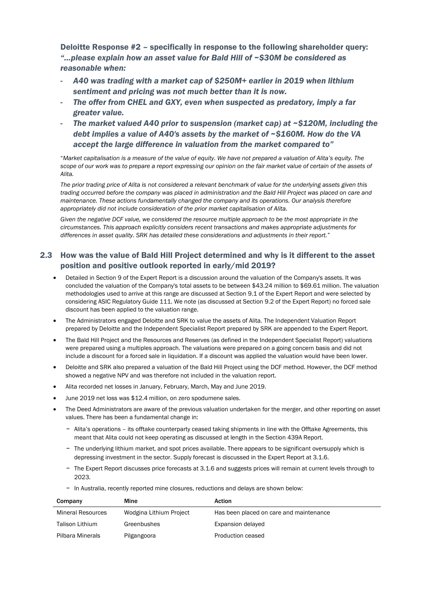Deloitte Response #2 – specifically in response to the following shareholder query: *"…please explain how an asset value for Bald Hill of ~\$30M be considered as reasonable when:* 

- *A40 was trading with a market cap of \$250M+ earlier in 2019 when lithium sentiment and pricing was not much better than it is now.*
- The offer from CHEL and GXY, even when suspected as predatory, imply a far *greater value.*
- *The market valued A40 prior to suspension (market cap) at ~\$120M, including the debt implies a value of A40's assets by the market of ~\$160M. How do the VA accept the large difference in valuation from the market compared to"*

"*Market capitalisation is a measure of the value of equity. We have not prepared a valuation of Alita's equity. The*  scope of our work was to prepare a report expressing our opinion on the fair market value of certain of the assets of *Alita.* 

*The prior trading price of Alita is not considered a relevant benchmark of value for the underlying assets given this*  trading occurred before the company was placed in administration and the Bald Hill Project was placed on care and *maintenance. These actions fundamentally changed the company and its operations. Our analysis therefore appropriately did not include consideration of the prior market capitalisation of Alita.* 

*Given the negative DCF value, we considered the resource multiple approach to be the most appropriate in the circumstances. This approach explicitly considers recent transactions and makes appropriate adjustments for differences in asset quality. SRK has detailed these considerations and adjustments in their report."* 

## 2.3 How was the value of Bald Hill Project determined and why is it different to the asset position and positive outlook reported in early/mid 2019?

- Detailed in Section 9 of the Expert Report is a discussion around the valuation of the Company's assets. It was concluded the valuation of the Company's total assets to be between \$43.24 million to \$69.61 million. The valuation methodologies used to arrive at this range are discussed at Section 9.1 of the Expert Report and were selected by considering ASIC Regulatory Guide 111. We note (as discussed at Section 9.2 of the Expert Report) no forced sale discount has been applied to the valuation range.
- The Administrators engaged Deloitte and SRK to value the assets of Alita. The Independent Valuation Report prepared by Deloitte and the Independent Specialist Report prepared by SRK are appended to the Expert Report.
- The Bald Hill Project and the Resources and Reserves (as defined in the Independent Specialist Report) valuations were prepared using a multiples approach. The valuations were prepared on a going concern basis and did not include a discount for a forced sale in liquidation. If a discount was applied the valuation would have been lower.
- Deloitte and SRK also prepared a valuation of the Bald Hill Project using the DCF method. However, the DCF method showed a negative NPV and was therefore not included in the valuation report.
- Alita recorded net losses in January, February, March, May and June 2019.
- June 2019 net loss was \$12.4 million, on zero spodumene sales.
- The Deed Administrators are aware of the previous valuation undertaken for the merger, and other reporting on asset values. There has been a fundamental change in:
	- − Alita's operations its offtake counterparty ceased taking shipments in line with the Offtake Agreements, this meant that Alita could not keep operating as discussed at length in the Section 439A Report.
	- − The underlying lithium market, and spot prices available. There appears to be significant oversupply which is depressing investment in the sector. Supply forecast is discussed in the Expert Report at 3.1.6.
	- − The Expert Report discusses price forecasts at 3.1.6 and suggests prices will remain at current levels through to 2023.
	- − In Australia, recently reported mine closures, reductions and delays are shown below:

| Company                  | Mine                    | Action                                  |
|--------------------------|-------------------------|-----------------------------------------|
| <b>Mineral Resources</b> | Wodgina Lithium Project | Has been placed on care and maintenance |
| Talison Lithium          | Greenbushes             | Expansion delayed                       |
| Pilbara Minerals         | Pilgangoora             | Production ceased                       |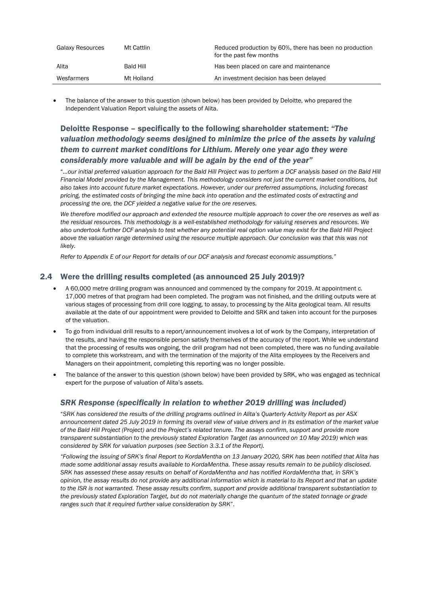| Galaxy Resources | Mt Cattlin | Reduced production by 60%, there has been no production<br>for the past few months |
|------------------|------------|------------------------------------------------------------------------------------|
| Alita            | Bald Hill  | Has been placed on care and maintenance                                            |
| Wesfarmers       | Mt Holland | An investment decision has been delayed                                            |

The balance of the answer to this question (shown below) has been provided by Deloitte, who prepared the Independent Valuation Report valuing the assets of Alita.

## Deloitte Response – specifically to the following shareholder statement: *"The valuation methodology seems designed to minimize the price of the assets by valuing them to current market conditions for Lithium. Merely one year ago they were considerably more valuable and will be again by the end of the year"*

"*…our initial preferred valuation approach for the Bald Hill Project was to perform a DCF analysis based on the Bald Hill Financial Model provided by the Management. This methodology considers not just the current market conditions, but also takes into account future market expectations. However, under our preferred assumptions, including forecast pricing, the estimated costs of bringing the mine back into operation and the estimated costs of extracting and processing the ore, the DCF yielded a negative value for the ore reserves.* 

*We therefore modified our approach and extended the resource multiple approach to cover the ore reserves as well as the residual resources. This methodology is a well-established methodology for valuing reserves and resources. We also undertook further DCF analysis to test whether any potential real option value may exist for the Bald Hill Project*  above the valuation range determined using the resource multiple approach. Our conclusion was that this was not *likely.* 

*Refer to Appendix E of our Report for details of our DCF analysis and forecast economic assumptions."*

#### 2.4 Were the drilling results completed (as announced 25 July 2019)?

- A 60,000 metre drilling program was announced and commenced by the company for 2019. At appointment c. 17,000 metres of that program had been completed. The program was not finished, and the drilling outputs were at various stages of processing from drill core logging, to assay, to processing by the Alita geological team. All results available at the date of our appointment were provided to Deloitte and SRK and taken into account for the purposes of the valuation.
- To go from individual drill results to a report/announcement involves a lot of work by the Company, interpretation of the results, and having the responsible person satisfy themselves of the accuracy of the report. While we understand that the processing of results was ongoing, the drill program had not been completed, there was no funding available to complete this workstream, and with the termination of the majority of the Alita employees by the Receivers and Managers on their appointment, completing this reporting was no longer possible.
- The balance of the answer to this question (shown below) have been provided by SRK, who was engaged as technical expert for the purpose of valuation of Alita's assets.

#### **SRK Response (specifically in relation to whether 2019 drilling was included)**

"*SRK has considered the results of the drilling programs outlined in Alita's Quarterly Activity Report as per ASX announcement dated 25 July 2019 in forming its overall view of value drivers and in its estimation of the market value of the Bald Hill Project (Project) and the Project's related tenure. The assays confirm, support and provide more transparent substantiation to the previously stated Exploration Target (as announced on 10 May 2019) which was considered by SRK for valuation purposes (see Section 3.3.1 of the Report).* 

*"Following the issuing of SRK's final Report to KordaMentha on 13 January 2020, SRK has been notified that Alita has made some additional assay results available to KordaMentha. These assay results remain to be publicly disclosed. SRK has assessed these assay results on behalf of KordaMentha and has notified KordaMentha that, in SRK's opinion, the assay results do not provide any additional information which is material to its Report and that an update to the ISR is not warranted. These assay results confirm, support and provide additional transparent substantiation to the previously stated Exploration Target, but do not materially change the quantum of the stated tonnage or grade ranges such that it required further value consideration by SRK*".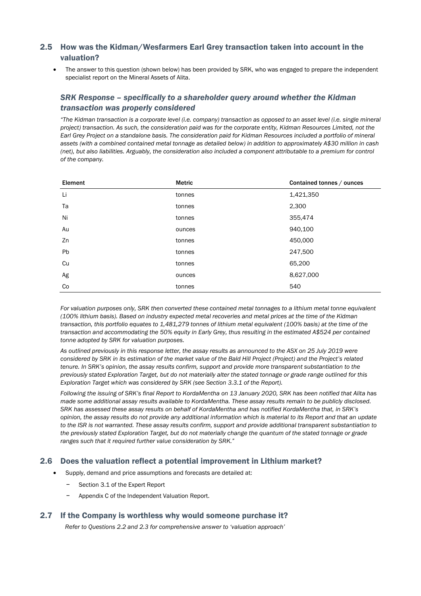### 2.5 How was the Kidman/Wesfarmers Earl Grey transaction taken into account in the valuation?

The answer to this question (shown below) has been provided by SRK, who was engaged to prepare the independent specialist report on the Mineral Assets of Alita.

### *SRK Response – specifically to a shareholder query around whether the Kidman transaction was properly considered*

*"The Kidman transaction is a corporate level (i.e. company) transaction as opposed to an asset level (i.e. single mineral project) transaction. As such, the consideration paid was for the corporate entity, Kidman Resources Limited, not the Earl Grey Project on a standalone basis. The consideration paid for Kidman Resources included a portfolio of mineral assets (with a combined contained metal tonnage as detailed below) in addition to approximately A\$30 million in cash (net), but also liabilities. Arguably, the consideration also included a component attributable to a premium for control of the company.* 

| Element | <b>Metric</b> | Contained tonnes / ounces |
|---------|---------------|---------------------------|
| Li      | tonnes        | 1,421,350                 |
| Ta      | tonnes        | 2,300                     |
| Ni      | tonnes        | 355,474                   |
| Au      | ounces        | 940,100                   |
| Zn      | tonnes        | 450,000                   |
| Pb      | tonnes        | 247,500                   |
| Cu      | tonnes        | 65,200                    |
| Ag      | ounces        | 8,627,000                 |
| Co      | tonnes        | 540                       |

For valuation purposes only, SRK then converted these contained metal tonnages to a lithium metal tonne equivalent *(100% lithium basis). Based on industry expected metal recoveries and metal prices at the time of the Kidman transaction, this portfolio equates to 1,481,279 tonnes of lithium metal equivalent (100% basis) at the time of the*  transaction and accommodating the 50% equity in Early Grey, thus resulting in the estimated A\$524 per contained *tonne adopted by SRK for valuation purposes.* 

*As outlined previously in this response letter, the assay results as announced to the ASX on 25 July 2019 were considered by SRK in its estimation of the market value of the Bald Hill Project (Project) and the Project's related tenure. In SRK's opinion, the assay results confirm, support and provide more transparent substantiation to the previously stated Exploration Target, but do not materially alter the stated tonnage or grade range outlined for this Exploration Target which was considered by SRK (see Section 3.3.1 of the Report).* 

*Following the issuing of SRK's final Report to KordaMentha on 13 January 2020, SRK has been notified that Alita has made some additional assay results available to KordaMentha. These assay results remain to be publicly disclosed. SRK has assessed these assay results on behalf of KordaMentha and has notified KordaMentha that, in SRK's opinion, the assay results do not provide any additional information which is material to its Report and that an update to the ISR is not warranted. These assay results confirm, support and provide additional transparent substantiation to the previously stated Exploration Target, but do not materially change the quantum of the stated tonnage or grade ranges such that it required further value consideration by SRK."* 

#### 2.6 Does the valuation reflect a potential improvement in Lithium market?

- Supply, demand and price assumptions and forecasts are detailed at:
	- − Section 3.1 of the Expert Report
	- − Appendix C of the Independent Valuation Report.

#### 2.7 If the Company is worthless why would someone purchase it?

*Refer to Questions 2.2 and 2.3 for comprehensive answer to 'valuation approach'*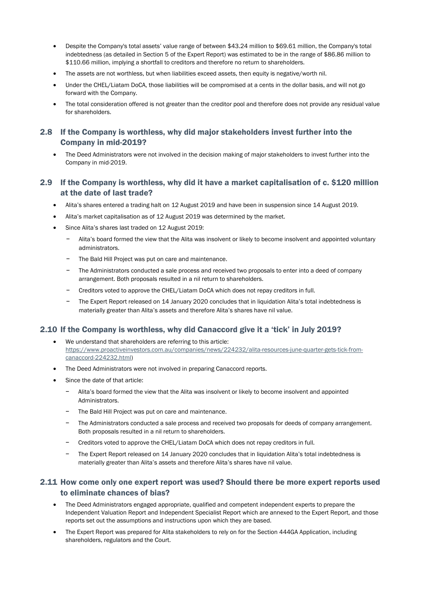- Despite the Company's total assets' value range of between \$43.24 million to \$69.61 million, the Company's total indebtedness (as detailed in Section 5 of the Expert Report) was estimated to be in the range of \$86.86 million to \$110.66 million, implying a shortfall to creditors and therefore no return to shareholders.
- The assets are not worthless, but when liabilities exceed assets, then equity is negative/worth nil.
- Under the CHEL/Liatam DoCA, those liabilities will be compromised at a cents in the dollar basis, and will not go forward with the Company.
- The total consideration offered is not greater than the creditor pool and therefore does not provide any residual value for shareholders.

## 2.8 If the Company is worthless, why did major stakeholders invest further into the Company in mid-2019?

• The Deed Administrators were not involved in the decision making of major stakeholders to invest further into the Company in mid-2019.

## 2.9 If the Company is worthless, why did it have a market capitalisation of c. \$120 million at the date of last trade?

- Alita's shares entered a trading halt on 12 August 2019 and have been in suspension since 14 August 2019.
- Alita's market capitalisation as of 12 August 2019 was determined by the market.
- Since Alita's shares last traded on 12 August 2019:
	- − Alita's board formed the view that the Alita was insolvent or likely to become insolvent and appointed voluntary administrators.
	- The Bald Hill Project was put on care and maintenance.
	- The Administrators conducted a sale process and received two proposals to enter into a deed of company arrangement. Both proposals resulted in a nil return to shareholders.
	- − Creditors voted to approve the CHEL/Liatam DoCA which does not repay creditors in full.
	- − The Expert Report released on 14 January 2020 concludes that in liquidation Alita's total indebtedness is materially greater than Alita's assets and therefore Alita's shares have nil value.

#### 2.10 If the Company is worthless, why did Canaccord give it a 'tick' in July 2019?

- We understand that shareholders are referring to this article: https://www.proactiveinvestors.com.au/companies/news/224232/alita-resources-june-quarter-gets-tick-fromcanaccord-224232.html)
- The Deed Administrators were not involved in preparing Canaccord reports.
- Since the date of that article:
	- − Alita's board formed the view that the Alita was insolvent or likely to become insolvent and appointed **Administrators**
	- The Bald Hill Project was put on care and maintenance.
	- − The Administrators conducted a sale process and received two proposals for deeds of company arrangement. Both proposals resulted in a nil return to shareholders.
	- − Creditors voted to approve the CHEL/Liatam DoCA which does not repay creditors in full.
	- − The Expert Report released on 14 January 2020 concludes that in liquidation Alita's total indebtedness is materially greater than Alita's assets and therefore Alita's shares have nil value.

#### 2.11 How come only one expert report was used? Should there be more expert reports used to eliminate chances of bias?

- The Deed Administrators engaged appropriate, qualified and competent independent experts to prepare the Independent Valuation Report and Independent Specialist Report which are annexed to the Expert Report, and those reports set out the assumptions and instructions upon which they are based.
- The Expert Report was prepared for Alita stakeholders to rely on for the Section 444GA Application, including shareholders, regulators and the Court.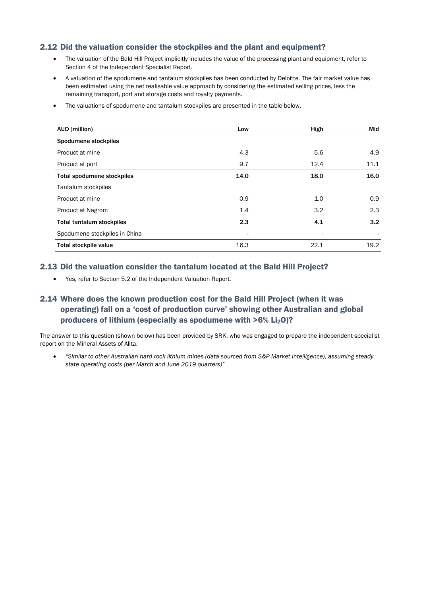#### 2.12 Did the valuation consider the stockpiles and the plant and equipment?

- The valuation of the Bald Hill Project implicitly includes the value of the processing plant and equipment, refer to Section 4 of the Independent Specialist Report.
- A valuation of the spodumene and tantalum stockpiles has been conducted by Deloitte. The fair market value has been estimated using the net realisable value approach by considering the estimated selling prices, less the remaining transport, port and storage costs and royalty payments.
- The valuations of spodumene and tantalum stockpiles are presented in the table below.

| AUD (million)                    | Low  | High | Mid  |
|----------------------------------|------|------|------|
| Spodumene stockpiles             |      |      |      |
| Product at mine                  | 4.3  | 5.6  | 4.9  |
| Product at port                  | 9.7  | 12.4 | 11.1 |
| Total spodumene stockpiles       | 14.0 | 18.0 | 16.0 |
| Tantalum stockpiles              |      |      |      |
| Product at mine                  | 0.9  | 1.0  | 0.9  |
| <b>Product at Nagrom</b>         | 1.4  | 3.2  | 2.3  |
| <b>Total tantalum stockpiles</b> | 2.3  | 4.1  | 3.2  |
| Spodumene stockpiles in China    |      |      |      |
| Total stockpile value            | 16.3 | 22.1 | 19.2 |

#### 2.13 Did the valuation consider the tantalum located at the Bald Hill Project?

• Yes, refer to Section 5.2 of the Independent Valuation Report.

## 2.14 Where does the known production cost for the Bald Hill Project (when it was operating) fall on a 'cost of production curve' showing other Australian and global producers of lithium (especially as spodumene with  $>6\%$  Li<sub>2</sub>O)?

The answer to this question (shown below) has been provided by SRK, who was engaged to prepare the independent specialist report on the Mineral Assets of Alita.

• *"Similar to other Australian hard rock lithium mines (data sourced from S&P Market Intelligence), assuming steady state operating costs (per March and June 2019 quarters)"*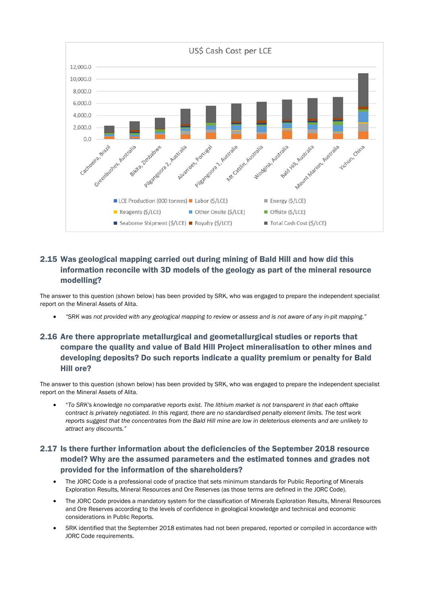

## 2.15 Was geological mapping carried out during mining of Bald Hill and how did this information reconcile with 3D models of the geology as part of the mineral resource modelling?

The answer to this question (shown below) has been provided by SRK, who was engaged to prepare the independent specialist report on the Mineral Assets of Alita.

• *"SRK was not provided with any geological mapping to review or assess and is not aware of any in-pit mapping."* 

## 2.16 Are there appropriate metallurgical and geometallurgical studies or reports that compare the quality and value of Bald Hill Project mineralisation to other mines and developing deposits? Do such reports indicate a quality premium or penalty for Bald Hill ore?

The answer to this question (shown below) has been provided by SRK, who was engaged to prepare the independent specialist report on the Mineral Assets of Alita.

• "*To SRK's knowledge no comparative reports exist. The lithium market is not transparent in that each offtake contract is privately negotiated. In this regard, there are no standardised penalty element limits. The test work reports suggest that the concentrates from the Bald Hill mine are low in deleterious elements and are unlikely to attract any discounts."*

## 2.17 Is there further information about the deficiencies of the September 2018 resource model? Why are the assumed parameters and the estimated tonnes and grades not provided for the information of the shareholders?

- The JORC Code is a professional code of practice that sets minimum standards for Public Reporting of Minerals Exploration Results, Mineral Resources and Ore Reserves (as those terms are defined in the JORC Code).
- The JORC Code provides a mandatory system for the classification of Minerals Exploration Results, Mineral Resources and Ore Reserves according to the levels of confidence in geological knowledge and technical and economic considerations in Public Reports.
- SRK identified that the September 2018 estimates had not been prepared, reported or compiled in accordance with JORC Code requirements.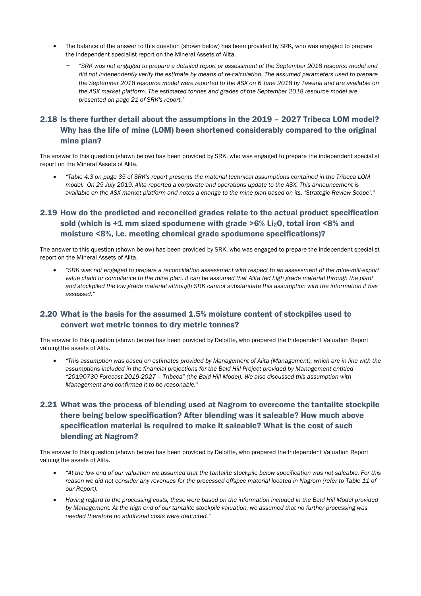- The balance of the answer to this question (shown below) has been provided by SRK, who was engaged to prepare the independent specialist report on the Mineral Assets of Alita.
	- − *"SRK was not engaged to prepare a detailed report or assessment of the September 2018 resource model and did not independently verify the estimate by means of re-calculation. The assumed parameters used to prepare the September 2018 resource model were reported to the ASX on 6 June 2018 by Tawana and are available on the ASX market platform. The estimated tonnes and grades of the September 2018 resource model are presented on page 21 of SRK's report."*

## 2.18 Is there further detail about the assumptions in the 2019 – 2027 Tribeca LOM model? Why has the life of mine (LOM) been shortened considerably compared to the original mine plan?

The answer to this question (shown below) has been provided by SRK, who was engaged to prepare the independent specialist report on the Mineral Assets of Alita.

• *"Table 4.3 on page 35 of SRK's report presents the material technical assumptions contained in the Tribeca LOM model. On 25 July 2019, Alita reported a corporate and operations update to the ASX. This announcement is available on the ASX market platform and notes a change to the mine plan based on its, "Strategic Review Scope"."* 

## 2.19 How do the predicted and reconciled grades relate to the actual product specification sold (which is  $+1$  mm sized spodumene with grade  $>6\%$  Li<sub>2</sub>O, total iron <8% and moisture <8%, i.e. meeting chemical grade spodumene specifications)?

The answer to this question (shown below) has been provided by SRK, who was engaged to prepare the independent specialist report on the Mineral Assets of Alita.

• *"SRK was not engaged to prepare a reconciliation assessment with respect to an assessment of the mine-mill-export*  value chain or compliance to the mine plan. It can be assumed that Alita fed high grade material through the plant *and stockpiled the low grade material although SRK cannot substantiate this assumption with the information it has assessed."* 

#### 2.20 What is the basis for the assumed 1.5% moisture content of stockpiles used to convert wet metric tonnes to dry metric tonnes?

The answer to this question (shown below) has been provided by Deloitte, who prepared the Independent Valuation Report valuing the assets of Alita.

• *"This assumption was based on estimates provided by Management of Alita (Management), which are in line with the assumptions included in the financial projections for the Bald Hill Project provided by Management entitled "20190730 Forecast 2019-2027 – Tribeca" (the Bald Hill Model). We also discussed this assumption with Management and confirmed it to be reasonable."* 

## 2.21 What was the process of blending used at Nagrom to overcome the tantalite stockpile there being below specification? After blending was it saleable? How much above specification material is required to make it saleable? What is the cost of such blending at Nagrom?

The answer to this question (shown below) has been provided by Deloitte, who prepared the Independent Valuation Report valuing the assets of Alita.

- *"At the low end of our valuation we assumed that the tantalite stockpile below specification was not saleable. For this reason we did not consider any revenues for the processed offspec material located in Nagrom (refer to Table 11 of our Report).*
- *Having regard to the processing costs, these were based on the information included in the Bald Hill Model provided by Management. At the high end of our tantalite stockpile valuation, we assumed that no further processing was needed therefore no additional costs were deducted."*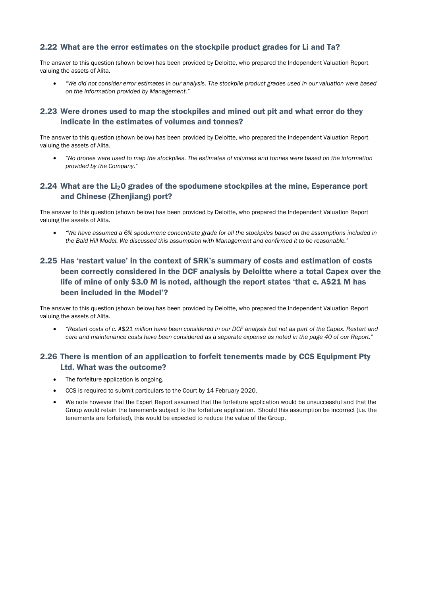#### 2.22 What are the error estimates on the stockpile product grades for Li and Ta?

The answer to this question (shown below) has been provided by Deloitte, who prepared the Independent Valuation Report valuing the assets of Alita.

• "*We did not consider error estimates in our analysis. The stockpile product grades used in our valuation were based on the information provided by Management."* 

#### 2.23 Were drones used to map the stockpiles and mined out pit and what error do they indicate in the estimates of volumes and tonnes?

The answer to this question (shown below) has been provided by Deloitte, who prepared the Independent Valuation Report valuing the assets of Alita.

• *"No drones were used to map the stockpiles. The estimates of volumes and tonnes were based on the information provided by the Company."* 

#### 2.24 What are the Li2O grades of the spodumene stockpiles at the mine, Esperance port and Chinese (Zhenjiang) port?

The answer to this question (shown below) has been provided by Deloitte, who prepared the Independent Valuation Report valuing the assets of Alita.

• *"We have assumed a 6% spodumene concentrate grade for all the stockpiles based on the assumptions included in the Bald Hill Model. We discussed this assumption with Management and confirmed it to be reasonable."* 

## 2.25 Has 'restart value' in the context of SRK's summary of costs and estimation of costs been correctly considered in the DCF analysis by Deloitte where a total Capex over the life of mine of only \$3.0 M is noted, although the report states 'that c. A\$21 M has been included in the Model'?

The answer to this question (shown below) has been provided by Deloitte, who prepared the Independent Valuation Report valuing the assets of Alita.

• *"Restart costs of c. A\$21 million have been considered in our DCF analysis but not as part of the Capex. Restart and care and maintenance costs have been considered as a separate expense as noted in the page 40 of our Report."* 

## 2.26 There is mention of an application to forfeit tenements made by CCS Equipment Pty Ltd. What was the outcome?

- The forfeiture application is ongoing.
- CCS is required to submit particulars to the Court by 14 February 2020.
- We note however that the Expert Report assumed that the forfeiture application would be unsuccessful and that the Group would retain the tenements subject to the forfeiture application. Should this assumption be incorrect (i.e. the tenements are forfeited), this would be expected to reduce the value of the Group.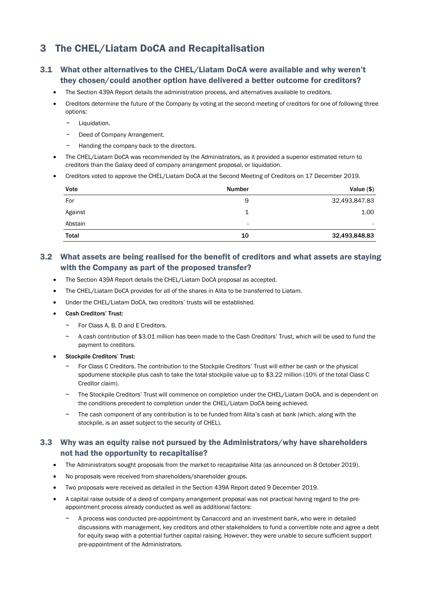## 3 The CHEL/Liatam DoCA and Recapitalisation

## 3.1 What other alternatives to the CHEL/Liatam DoCA were available and why weren't they chosen/could another option have delivered a better outcome for creditors?

- The Section 439A Report details the administration process, and alternatives available to creditors.
- Creditors determine the future of the Company by voting at the second meeting of creditors for one of following three options:
	- − Liquidation.
	- Deed of Company Arrangement.
	- Handing the company back to the directors.
- The CHEL/Liatam DoCA was recommended by the Administrators, as it provided a superior estimated return to creditors than the Galaxy deed of company arrangement proposal, or liquidation.
- Creditors voted to approve the CHEL/Liatam DoCA at the Second Meeting of Creditors on 17 December 2019.

| Vote         | Number | Value $($)$   |
|--------------|--------|---------------|
| For          | 9      | 32,493,847.83 |
| Against      | 1      | 1.00          |
| Abstain      | ۰      | ۰.            |
| <b>Total</b> | 10     | 32,493,848.83 |

## 3.2 What assets are being realised for the benefit of creditors and what assets are staying with the Company as part of the proposed transfer?

- The Section 439A Report details the CHEL/Liatam DoCA proposal as accepted.
- The CHEL/Liatam DoCA provides for all of the shares in Alita to be transferred to Liatam.
- Under the CHEL/Liatam DoCA, two creditors' trusts will be established.
- Cash Creditors' Trust:
	- For Class A, B, D and E Creditors.
	- − A cash contribution of \$3.01 million has been made to the Cash Creditors' Trust, which will be used to fund the payment to creditors.
- Stockpile Creditors' Trust:
	- − For Class C Creditors. The contribution to the Stockpile Creditors' Trust will either be cash or the physical spodumene stockpile plus cash to take the total stockpile value up to \$3.22 million (10% of the total Class C Creditor claim).
	- − The Stockpile Creditors' Trust will commence on completion under the CHEL/Liatam DoCA, and is dependent on the conditions precedent to completion under the CHEL/Liatam DoCA being achieved.
	- The cash component of any contribution is to be funded from Alita's cash at bank (which, along with the stockpile, is an asset subject to the security of CHEL).

#### 3.3 Why was an equity raise not pursued by the Administrators/why have shareholders not had the opportunity to recapitalise?

- The Administrators sought proposals from the market to recapitalise Alita (as announced on 8 October 2019).
- No proposals were received from shareholders/shareholder groups.
- Two proposals were received as detailed in the Section 439A Report dated 9 December 2019.
- A capital raise outside of a deed of company arrangement proposal was not practical having regard to the preappointment process already conducted as well as additional factors:
	- − A process was conducted pre-appointment by Canaccord and an investment bank, who were in detailed discussions with management, key creditors and other stakeholders to fund a convertible note and agree a debt for equity swap with a potential further capital raising. However, they were unable to secure sufficient support pre-appointment of the Administrators.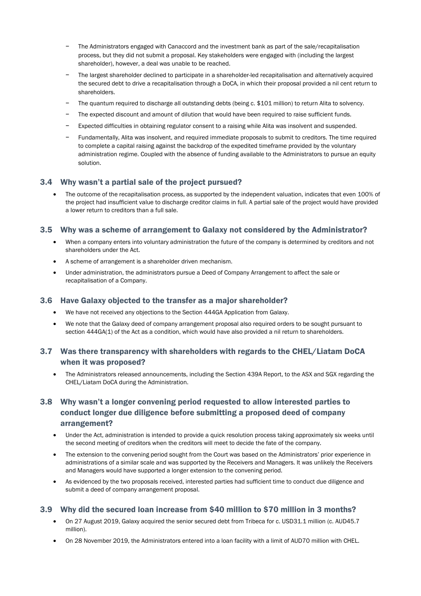- The Administrators engaged with Canaccord and the investment bank as part of the sale/recapitalisation process, but they did not submit a proposal. Key stakeholders were engaged with (including the largest shareholder), however, a deal was unable to be reached.
- − The largest shareholder declined to participate in a shareholder-led recapitalisation and alternatively acquired the secured debt to drive a recapitalisation through a DoCA, in which their proposal provided a nil cent return to shareholders.
- The quantum required to discharge all outstanding debts (being c. \$101 million) to return Alita to solvency.
- The expected discount and amount of dilution that would have been required to raise sufficient funds.
- − Expected difficulties in obtaining regulator consent to a raising while Alita was insolvent and suspended.
- − Fundamentally, Alita was insolvent, and required immediate proposals to submit to creditors. The time required to complete a capital raising against the backdrop of the expedited timeframe provided by the voluntary administration regime. Coupled with the absence of funding available to the Administrators to pursue an equity solution.

#### 3.4 Why wasn't a partial sale of the project pursued?

• The outcome of the recapitalisation process, as supported by the independent valuation, indicates that even 100% of the project had insufficient value to discharge creditor claims in full. A partial sale of the project would have provided a lower return to creditors than a full sale.

#### 3.5 Why was a scheme of arrangement to Galaxy not considered by the Administrator?

- When a company enters into voluntary administration the future of the company is determined by creditors and not shareholders under the Act.
- A scheme of arrangement is a shareholder driven mechanism.
- Under administration, the administrators pursue a Deed of Company Arrangement to affect the sale or recapitalisation of a Company.

#### 3.6 Have Galaxy objected to the transfer as a major shareholder?

- We have not received any objections to the Section 444GA Application from Galaxy.
- We note that the Galaxy deed of company arrangement proposal also required orders to be sought pursuant to section 444GA(1) of the Act as a condition, which would have also provided a nil return to shareholders.

#### 3.7 Was there transparency with shareholders with regards to the CHEL/Liatam DoCA when it was proposed?

• The Administrators released announcements, including the Section 439A Report, to the ASX and SGX regarding the CHEL/Liatam DoCA during the Administration.

## 3.8 Why wasn't a longer convening period requested to allow interested parties to conduct longer due diligence before submitting a proposed deed of company arrangement?

- Under the Act, administration is intended to provide a quick resolution process taking approximately six weeks until the second meeting of creditors when the creditors will meet to decide the fate of the company.
- The extension to the convening period sought from the Court was based on the Administrators' prior experience in administrations of a similar scale and was supported by the Receivers and Managers. It was unlikely the Receivers and Managers would have supported a longer extension to the convening period.
- As evidenced by the two proposals received, interested parties had sufficient time to conduct due diligence and submit a deed of company arrangement proposal.

#### 3.9 Why did the secured loan increase from \$40 million to \$70 million in 3 months?

- On 27 August 2019, Galaxy acquired the senior secured debt from Tribeca for c. USD31.1 million (c. AUD45.7 million).
- On 28 November 2019, the Administrators entered into a loan facility with a limit of AUD70 million with CHEL.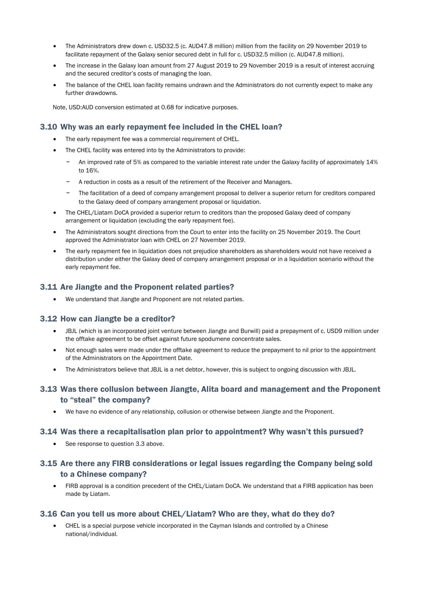- The Administrators drew down c. USD32.5 (c. AUD47.8 million) million from the facility on 29 November 2019 to facilitate repayment of the Galaxy senior secured debt in full for c. USD32.5 million (c. AUD47.8 million).
- The increase in the Galaxy loan amount from 27 August 2019 to 29 November 2019 is a result of interest accruing and the secured creditor's costs of managing the loan.
- The balance of the CHEL loan facility remains undrawn and the Administrators do not currently expect to make any further drawdowns.

Note, USD:AUD conversion estimated at 0.68 for indicative purposes.

#### 3.10 Why was an early repayment fee included in the CHEL loan?

- The early repayment fee was a commercial requirement of CHEL.
- The CHEL facility was entered into by the Administrators to provide:
	- − An improved rate of 5% as compared to the variable interest rate under the Galaxy facility of approximately 14% to 16%.
	- − A reduction in costs as a result of the retirement of the Receiver and Managers.
	- The facilitation of a deed of company arrangement proposal to deliver a superior return for creditors compared to the Galaxy deed of company arrangement proposal or liquidation.
- The CHEL/Liatam DoCA provided a superior return to creditors than the proposed Galaxy deed of company arrangement or liquidation (excluding the early repayment fee).
- The Administrators sought directions from the Court to enter into the facility on 25 November 2019. The Court approved the Administrator loan with CHEL on 27 November 2019.
- The early repayment fee in liquidation does not prejudice shareholders as shareholders would not have received a distribution under either the Galaxy deed of company arrangement proposal or in a liquidation scenario without the early repayment fee.

#### 3.11 Are Jiangte and the Proponent related parties?

• We understand that Jiangte and Proponent are not related parties.

#### 3.12 How can Jiangte be a creditor?

- JBJL (which is an incorporated joint venture between Jiangte and Burwill) paid a prepayment of c. USD9 million under the offtake agreement to be offset against future spodumene concentrate sales.
- Not enough sales were made under the offtake agreement to reduce the prepayment to nil prior to the appointment of the Administrators on the Appointment Date.
- The Administrators believe that JBJL is a net debtor, however, this is subject to ongoing discussion with JBJL.

#### 3.13 Was there collusion between Jiangte, Alita board and management and the Proponent to "steal" the company?

• We have no evidence of any relationship, collusion or otherwise between Jiangte and the Proponent.

#### 3.14 Was there a recapitalisation plan prior to appointment? Why wasn't this pursued?

• See response to question 3.3 above.

## 3.15 Are there any FIRB considerations or legal issues regarding the Company being sold to a Chinese company?

• FIRB approval is a condition precedent of the CHEL/Liatam DoCA. We understand that a FIRB application has been made by Liatam.

#### 3.16 Can you tell us more about CHEL/Liatam? Who are they, what do they do?

• CHEL is a special purpose vehicle incorporated in the Cayman Islands and controlled by a Chinese national/individual.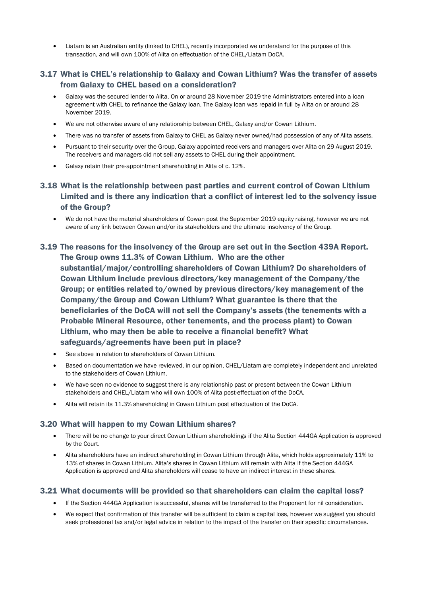• Liatam is an Australian entity (linked to CHEL), recently incorporated we understand for the purpose of this transaction, and will own 100% of Alita on effectuation of the CHEL/Liatam DoCA.

#### 3.17 What is CHEL's relationship to Galaxy and Cowan Lithium? Was the transfer of assets from Galaxy to CHEL based on a consideration?

- Galaxy was the secured lender to Alita. On or around 28 November 2019 the Administrators entered into a loan agreement with CHEL to refinance the Galaxy loan. The Galaxy loan was repaid in full by Alita on or around 28 November 2019.
- We are not otherwise aware of any relationship between CHEL, Galaxy and/or Cowan Lithium.
- There was no transfer of assets from Galaxy to CHEL as Galaxy never owned/had possession of any of Alita assets.
- Pursuant to their security over the Group, Galaxy appointed receivers and managers over Alita on 29 August 2019. The receivers and managers did not sell any assets to CHEL during their appointment.
- Galaxy retain their pre-appointment shareholding in Alita of c. 12%.
- 3.18 What is the relationship between past parties and current control of Cowan Lithium Limited and is there any indication that a conflict of interest led to the solvency issue of the Group?
	- We do not have the material shareholders of Cowan post the September 2019 equity raising, however we are not aware of any link between Cowan and/or its stakeholders and the ultimate insolvency of the Group.

## 3.19 The reasons for the insolvency of the Group are set out in the Section 439A Report. The Group owns 11.3% of Cowan Lithium. Who are the other substantial/major/controlling shareholders of Cowan Lithium? Do shareholders of Cowan Lithium include previous directors/key management of the Company/the Group; or entities related to/owned by previous directors/key management of the Company/the Group and Cowan Lithium? What guarantee is there that the beneficiaries of the DoCA will not sell the Company's assets (the tenements with a Probable Mineral Resource, other tenements, and the process plant) to Cowan Lithium, who may then be able to receive a financial benefit? What safeguards/agreements have been put in place?

- See above in relation to shareholders of Cowan Lithium.
- Based on documentation we have reviewed, in our opinion, CHEL/Liatam are completely independent and unrelated to the stakeholders of Cowan Lithium.
- We have seen no evidence to suggest there is any relationship past or present between the Cowan Lithium stakeholders and CHEL/Liatam who will own 100% of Alita post-effectuation of the DoCA.
- Alita will retain its 11.3% shareholding in Cowan Lithium post effectuation of the DoCA.

#### 3.20 What will happen to my Cowan Lithium shares?

- There will be no change to your direct Cowan Lithium shareholdings if the Alita Section 444GA Application is approved by the Court.
- Alita shareholders have an indirect shareholding in Cowan Lithium through Alita, which holds approximately 11% to 13% of shares in Cowan Lithium. Alita's shares in Cowan Lithium will remain with Alita if the Section 444GA Application is approved and Alita shareholders will cease to have an indirect interest in these shares.

#### 3.21 What documents will be provided so that shareholders can claim the capital loss?

- If the Section 444GA Application is successful, shares will be transferred to the Proponent for nil consideration.
- We expect that confirmation of this transfer will be sufficient to claim a capital loss, however we suggest you should seek professional tax and/or legal advice in relation to the impact of the transfer on their specific circumstances.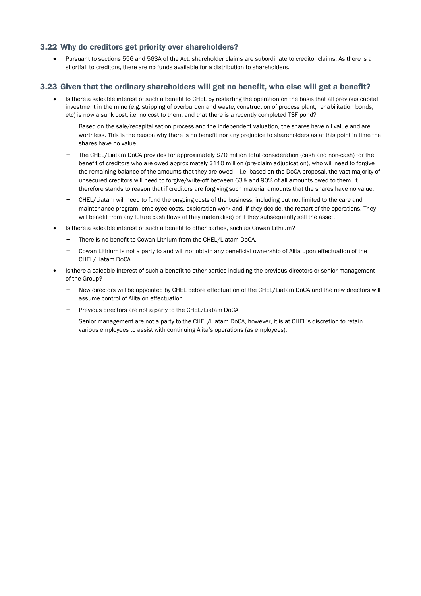#### 3.22 Why do creditors get priority over shareholders?

• Pursuant to sections 556 and 563A of the Act, shareholder claims are subordinate to creditor claims. As there is a shortfall to creditors, there are no funds available for a distribution to shareholders.

#### 3.23 Given that the ordinary shareholders will get no benefit, who else will get a benefit?

- Is there a saleable interest of such a benefit to CHEL by restarting the operation on the basis that all previous capital investment in the mine (e.g. stripping of overburden and waste; construction of process plant; rehabilitation bonds, etc) is now a sunk cost, i.e. no cost to them, and that there is a recently completed TSF pond?
	- Based on the sale/recapitalisation process and the independent valuation, the shares have nil value and are worthless. This is the reason why there is no benefit nor any prejudice to shareholders as at this point in time the shares have no value.
	- The CHEL/Liatam DoCA provides for approximately \$70 million total consideration (cash and non-cash) for the benefit of creditors who are owed approximately \$110 million (pre-claim adjudication), who will need to forgive the remaining balance of the amounts that they are owed – i.e. based on the DoCA proposal, the vast majority of unsecured creditors will need to forgive/write-off between 63% and 90% of all amounts owed to them. It therefore stands to reason that if creditors are forgiving such material amounts that the shares have no value.
	- − CHEL/Liatam will need to fund the ongoing costs of the business, including but not limited to the care and maintenance program, employee costs, exploration work and, if they decide, the restart of the operations. They will benefit from any future cash flows (if they materialise) or if they subsequently sell the asset.
- Is there a saleable interest of such a benefit to other parties, such as Cowan Lithium?
	- − There is no benefit to Cowan Lithium from the CHEL/Liatam DoCA.
	- − Cowan Lithium is not a party to and will not obtain any beneficial ownership of Alita upon effectuation of the CHEL/Liatam DoCA.
- Is there a saleable interest of such a benefit to other parties including the previous directors or senior management of the Group?
	- New directors will be appointed by CHEL before effectuation of the CHEL/Liatam DoCA and the new directors will assume control of Alita on effectuation.
	- − Previous directors are not a party to the CHEL/Liatam DoCA.
	- − Senior management are not a party to the CHEL/Liatam DoCA, however, it is at CHEL's discretion to retain various employees to assist with continuing Alita's operations (as employees).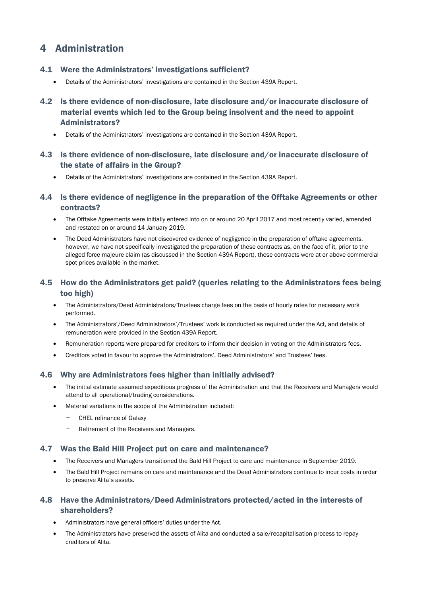## 4 Administration

### 4.1 Were the Administrators' investigations sufficient?

- Details of the Administrators' investigations are contained in the Section 439A Report.
- 4.2 Is there evidence of non-disclosure, late disclosure and/or inaccurate disclosure of material events which led to the Group being insolvent and the need to appoint Administrators?
	- Details of the Administrators' investigations are contained in the Section 439A Report.
- 4.3 Is there evidence of non-disclosure, late disclosure and/or inaccurate disclosure of the state of affairs in the Group?
	- Details of the Administrators' investigations are contained in the Section 439A Report.
- 4.4 Is there evidence of negligence in the preparation of the Offtake Agreements or other contracts?
	- The Offtake Agreements were initially entered into on or around 20 April 2017 and most recently varied, amended and restated on or around 14 January 2019.
	- The Deed Administrators have not discovered evidence of negligence in the preparation of offtake agreements, however, we have not specifically investigated the preparation of these contracts as, on the face of it, prior to the alleged force majeure claim (as discussed in the Section 439A Report), these contracts were at or above commercial spot prices available in the market.

## 4.5 How do the Administrators get paid? (queries relating to the Administrators fees being too high)

- The Administrators/Deed Administrators/Trustees charge fees on the basis of hourly rates for necessary work performed.
- The Administrators'/Deed Administrators'/Trustees' work is conducted as required under the Act, and details of remuneration were provided in the Section 439A Report.
- Remuneration reports were prepared for creditors to inform their decision in voting on the Administrators fees.
- Creditors voted in favour to approve the Administrators', Deed Administrators' and Trustees' fees.

#### 4.6 Why are Administrators fees higher than initially advised?

- The initial estimate assumed expeditious progress of the Administration and that the Receivers and Managers would attend to all operational/trading considerations.
- Material variations in the scope of the Administration included:
	- − CHEL refinance of Galaxy
	- Retirement of the Receivers and Managers.

#### 4.7 Was the Bald Hill Project put on care and maintenance?

- The Receivers and Managers transitioned the Bald Hill Project to care and maintenance in September 2019.
- The Bald Hill Project remains on care and maintenance and the Deed Administrators continue to incur costs in order to preserve Alita's assets.

## 4.8 Have the Administrators/Deed Administrators protected/acted in the interests of shareholders?

- Administrators have general officers' duties under the Act.
- The Administrators have preserved the assets of Alita and conducted a sale/recapitalisation process to repay creditors of Alita.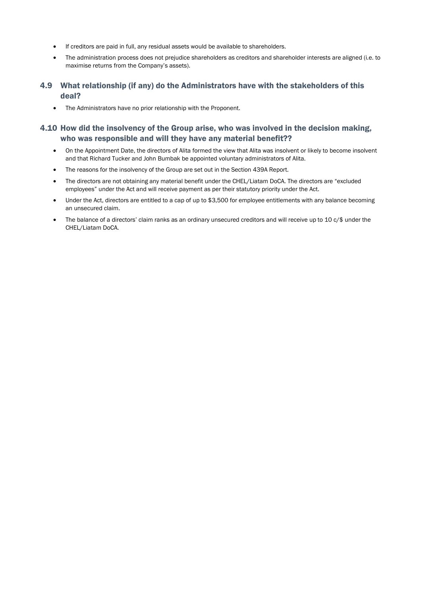- If creditors are paid in full, any residual assets would be available to shareholders.
- The administration process does not prejudice shareholders as creditors and shareholder interests are aligned (i.e. to maximise returns from the Company's assets).
- 4.9 What relationship (if any) do the Administrators have with the stakeholders of this deal?
	- The Administrators have no prior relationship with the Proponent.

## 4.10 How did the insolvency of the Group arise, who was involved in the decision making, who was responsible and will they have any material benefit??

- On the Appointment Date, the directors of Alita formed the view that Alita was insolvent or likely to become insolvent and that Richard Tucker and John Bumbak be appointed voluntary administrators of Alita.
- The reasons for the insolvency of the Group are set out in the Section 439A Report.
- The directors are not obtaining any material benefit under the CHEL/Liatam DoCA. The directors are "excluded employees" under the Act and will receive payment as per their statutory priority under the Act.
- Under the Act, directors are entitled to a cap of up to \$3,500 for employee entitlements with any balance becoming an unsecured claim.
- The balance of a directors' claim ranks as an ordinary unsecured creditors and will receive up to 10 c/\$ under the CHEL/Liatam DoCA.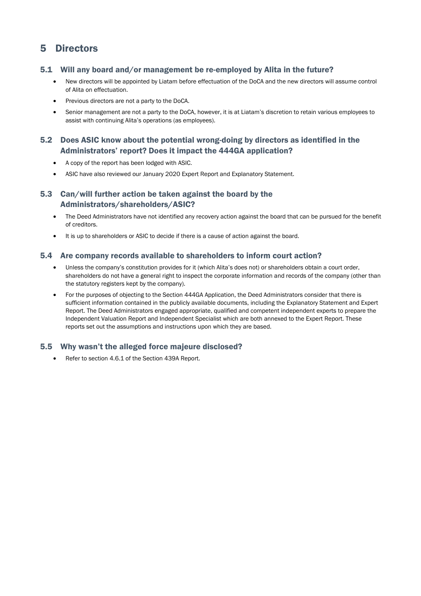## 5 Directors

#### 5.1 Will any board and/or management be re-employed by Alita in the future?

- New directors will be appointed by Liatam before effectuation of the DoCA and the new directors will assume control of Alita on effectuation.
- Previous directors are not a party to the DoCA.
- Senior management are not a party to the DoCA, however, it is at Liatam's discretion to retain various employees to assist with continuing Alita's operations (as employees).

### 5.2 Does ASIC know about the potential wrong-doing by directors as identified in the Administrators' report? Does it impact the 444GA application?

- A copy of the report has been lodged with ASIC.
- ASIC have also reviewed our January 2020 Expert Report and Explanatory Statement.

### 5.3 Can/will further action be taken against the board by the Administrators/shareholders/ASIC?

- The Deed Administrators have not identified any recovery action against the board that can be pursued for the benefit of creditors.
- It is up to shareholders or ASIC to decide if there is a cause of action against the board.

#### 5.4 Are company records available to shareholders to inform court action?

- Unless the company's constitution provides for it (which Alita's does not) or shareholders obtain a court order, shareholders do not have a general right to inspect the corporate information and records of the company (other than the statutory registers kept by the company).
- For the purposes of objecting to the Section 444GA Application, the Deed Administrators consider that there is sufficient information contained in the publicly available documents, including the Explanatory Statement and Expert Report. The Deed Administrators engaged appropriate, qualified and competent independent experts to prepare the Independent Valuation Report and Independent Specialist which are both annexed to the Expert Report. These reports set out the assumptions and instructions upon which they are based.

#### 5.5 Why wasn't the alleged force majeure disclosed?

• Refer to section 4.6.1 of the Section 439A Report.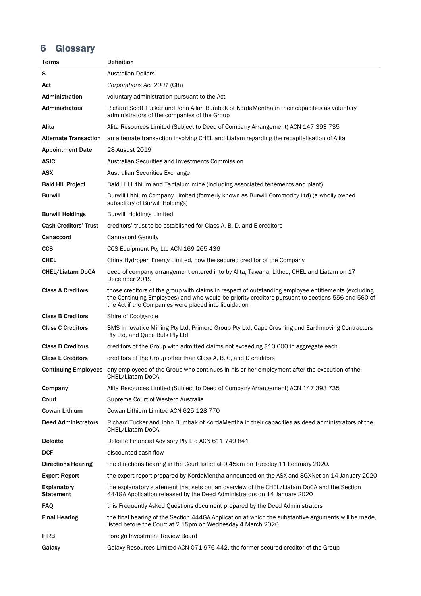# 6 Glossary

| Terms                                  | <b>Definition</b>                                                                                                                                                                                                                                                 |
|----------------------------------------|-------------------------------------------------------------------------------------------------------------------------------------------------------------------------------------------------------------------------------------------------------------------|
| \$                                     | <b>Australian Dollars</b>                                                                                                                                                                                                                                         |
| Act                                    | Corporations Act 2001 (Cth)                                                                                                                                                                                                                                       |
| <b>Administration</b>                  | voluntary administration pursuant to the Act                                                                                                                                                                                                                      |
| Administrators                         | Richard Scott Tucker and John Allan Bumbak of KordaMentha in their capacities as voluntary<br>administrators of the companies of the Group                                                                                                                        |
| Alita                                  | Alita Resources Limited (Subject to Deed of Company Arrangement) ACN 147 393 735                                                                                                                                                                                  |
| <b>Alternate Transaction</b>           | an alternate transaction involving CHEL and Liatam regarding the recapitalisation of Alita                                                                                                                                                                        |
| <b>Appointment Date</b>                | 28 August 2019                                                                                                                                                                                                                                                    |
| <b>ASIC</b>                            | Australian Securities and Investments Commission                                                                                                                                                                                                                  |
| <b>ASX</b>                             | Australian Securities Exchange                                                                                                                                                                                                                                    |
| <b>Bald Hill Project</b>               | Bald Hill Lithium and Tantalum mine (including associated tenements and plant)                                                                                                                                                                                    |
| <b>Burwill</b>                         | Burwill Lithium Company Limited (formerly known as Burwill Commodity Ltd) (a wholly owned<br>subsidiary of Burwill Holdings)                                                                                                                                      |
| <b>Burwill Holdings</b>                | <b>Burwilll Holdings Limited</b>                                                                                                                                                                                                                                  |
| <b>Cash Creditors' Trust</b>           | creditors' trust to be established for Class A, B, D, and E creditors                                                                                                                                                                                             |
| <b>Canaccord</b>                       | <b>Cannacord Genuity</b>                                                                                                                                                                                                                                          |
| <b>CCS</b>                             | CCS Equipment Pty Ltd ACN 169 265 436                                                                                                                                                                                                                             |
| <b>CHEL</b>                            | China Hydrogen Energy Limited, now the secured creditor of the Company                                                                                                                                                                                            |
| CHEL/Liatam DoCA                       | deed of company arrangement entered into by Alita, Tawana, Lithco, CHEL and Liatam on 17<br>December 2019                                                                                                                                                         |
| <b>Class A Creditors</b>               | those creditors of the group with claims in respect of outstanding employee entitlements (excluding<br>the Continuing Employees) and who would be priority creditors pursuant to sections 556 and 560 of<br>the Act if the Companies were placed into liquidation |
| <b>Class B Creditors</b>               | Shire of Coolgardie                                                                                                                                                                                                                                               |
| <b>Class C Creditors</b>               | SMS Innovative Mining Pty Ltd, Primero Group Pty Ltd, Cape Crushing and Earthmoving Contractors<br>Pty Ltd, and Qube Bulk Pty Ltd                                                                                                                                 |
| <b>Class D Creditors</b>               | creditors of the Group with admitted claims not exceeding \$10,000 in aggregate each                                                                                                                                                                              |
| <b>Class E Creditors</b>               | creditors of the Group other than Class A, B, C, and D creditors                                                                                                                                                                                                  |
|                                        | <b>Continuing Employees</b> any employees of the Group who continues in his or her employment after the execution of the<br>CHEL/Liatam DoCA                                                                                                                      |
| Company                                | Alita Resources Limited (Subject to Deed of Company Arrangement) ACN 147 393 735                                                                                                                                                                                  |
| Court                                  | Supreme Court of Western Australia                                                                                                                                                                                                                                |
| Cowan Lithium                          | Cowan Lithium Limited ACN 625 128 770                                                                                                                                                                                                                             |
| <b>Deed Administrators</b>             | Richard Tucker and John Bumbak of KordaMentha in their capacities as deed administrators of the<br>CHEL/Liatam DoCA                                                                                                                                               |
| <b>Deloitte</b>                        | Deloitte Financial Advisory Pty Ltd ACN 611 749 841                                                                                                                                                                                                               |
| <b>DCF</b>                             | discounted cash flow                                                                                                                                                                                                                                              |
| <b>Directions Hearing</b>              | the directions hearing in the Court listed at 9.45am on Tuesday 11 February 2020.                                                                                                                                                                                 |
| <b>Expert Report</b>                   | the expert report prepared by KordaMentha announced on the ASX and SGXNet on 14 January 2020                                                                                                                                                                      |
| <b>Explanatory</b><br><b>Statement</b> | the explanatory statement that sets out an overview of the CHEL/Liatam DoCA and the Section<br>444GA Application released by the Deed Administrators on 14 January 2020                                                                                           |
| <b>FAQ</b>                             | this Frequently Asked Questions document prepared by the Deed Administrators                                                                                                                                                                                      |
| <b>Final Hearing</b>                   | the final hearing of the Section 444GA Application at which the substantive arguments will be made,<br>listed before the Court at 2.15pm on Wednesday 4 March 2020                                                                                                |
| <b>FIRB</b>                            | Foreign Investment Review Board                                                                                                                                                                                                                                   |
| Galaxy                                 | Galaxy Resources Limited ACN 071 976 442, the former secured creditor of the Group                                                                                                                                                                                |